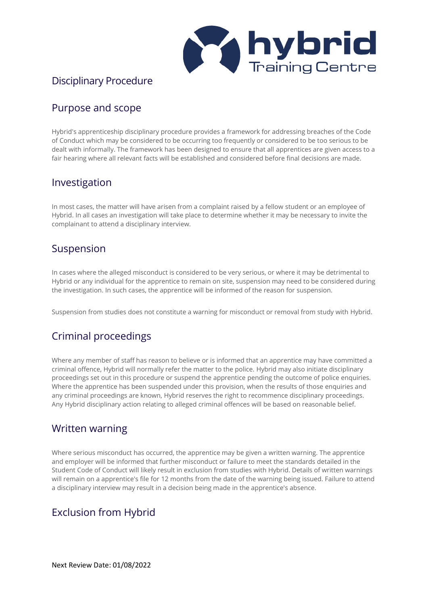

#### Disciplinary Procedure

### Purpose and scope

Hybrid's apprenticeship disciplinary procedure provides a framework for addressing breaches of the Code of Conduct which may be considered to be occurring too frequently or considered to be too serious to be dealt with informally. The framework has been designed to ensure that all apprentices are given access to a fair hearing where all relevant facts will be established and considered before final decisions are made.

#### Investigation

In most cases, the matter will have arisen from a complaint raised by a fellow student or an employee of Hybrid. In all cases an investigation will take place to determine whether it may be necessary to invite the complainant to attend a disciplinary interview.

#### Suspension

In cases where the alleged misconduct is considered to be very serious, or where it may be detrimental to Hybrid or any individual for the apprentice to remain on site, suspension may need to be considered during the investigation. In such cases, the apprentice will be informed of the reason for suspension.

Suspension from studies does not constitute a warning for misconduct or removal from study with Hybrid.

### Criminal proceedings

Where any member of staff has reason to believe or is informed that an apprentice may have committed a criminal offence, Hybrid will normally refer the matter to the police. Hybrid may also initiate disciplinary proceedings set out in this procedure or suspend the apprentice pending the outcome of police enquiries. Where the apprentice has been suspended under this provision, when the results of those enquiries and any criminal proceedings are known, Hybrid reserves the right to recommence disciplinary proceedings. Any Hybrid disciplinary action relating to alleged criminal offences will be based on reasonable belief.

#### Written warning

Where serious misconduct has occurred, the apprentice may be given a written warning. The apprentice and employer will be informed that further misconduct or failure to meet the standards detailed in the Student Code of Conduct will likely result in exclusion from studies with Hybrid. Details of written warnings will remain on a apprentice's file for 12 months from the date of the warning being issued. Failure to attend a disciplinary interview may result in a decision being made in the apprentice's absence.

### Exclusion from Hybrid